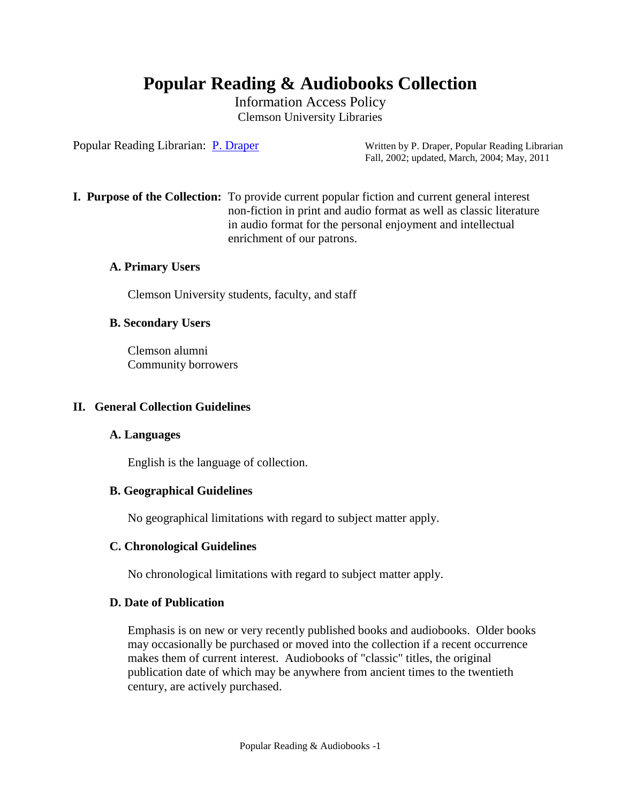# **Popular Reading & Audiobooks Collection**

Information Access Policy Clemson University Libraries

Popular Reading Librarian: [P. Draper](mailto:pdraper@clemson.edu) Written by P. Draper, Popular Reading Librarian Fall, 2002; updated, March, 2004; May, 2011

**I. Purpose of the Collection:** To provide current popular fiction and current general interest non-fiction in print and audio format as well as classic literature in audio format for the personal enjoyment and intellectual enrichment of our patrons.

# **A. Primary Users**

Clemson University students, faculty, and staff

#### **B. Secondary Users**

Clemson alumni Community borrowers

#### **II. General Collection Guidelines**

#### **A. Languages**

English is the language of collection.

#### **B. Geographical Guidelines**

No geographical limitations with regard to subject matter apply.

# **C. Chronological Guidelines**

No chronological limitations with regard to subject matter apply.

#### **D. Date of Publication**

Emphasis is on new or very recently published books and audiobooks. Older books may occasionally be purchased or moved into the collection if a recent occurrence makes them of current interest. Audiobooks of "classic" titles, the original publication date of which may be anywhere from ancient times to the twentieth century, are actively purchased.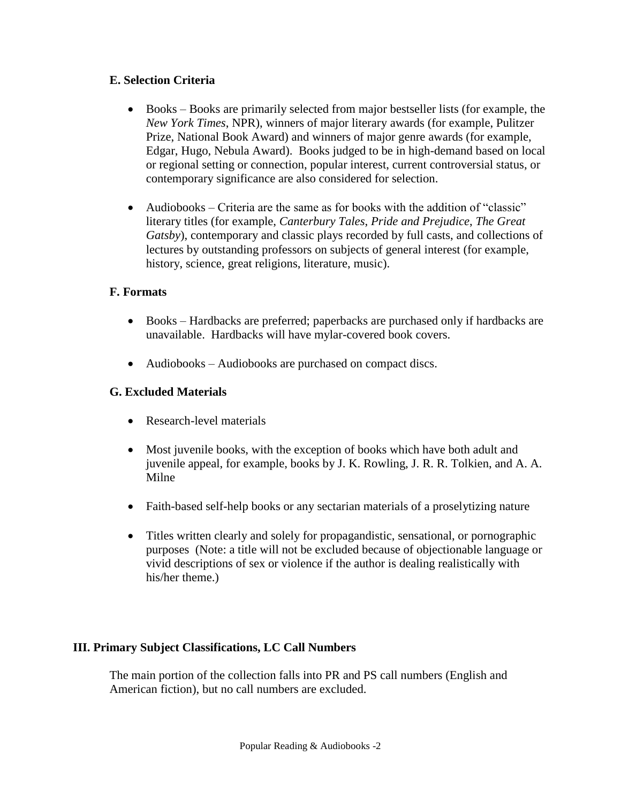# **E. Selection Criteria**

- Books Books are primarily selected from major bestseller lists (for example, the *New York Times*, NPR), winners of major literary awards (for example, Pulitzer Prize, National Book Award) and winners of major genre awards (for example, Edgar, Hugo, Nebula Award). Books judged to be in high-demand based on local or regional setting or connection, popular interest, current controversial status, or contemporary significance are also considered for selection.
- Audiobooks Criteria are the same as for books with the addition of "classic" literary titles (for example, *Canterbury Tales*, *Pride and Prejudice*, *The Great Gatsby*), contemporary and classic plays recorded by full casts, and collections of lectures by outstanding professors on subjects of general interest (for example, history, science, great religions, literature, music).

# **F. Formats**

- Books Hardbacks are preferred; paperbacks are purchased only if hardbacks are unavailable. Hardbacks will have mylar-covered book covers.
- Audiobooks Audiobooks are purchased on compact discs.

# **G. Excluded Materials**

- Research-level materials
- Most juvenile books, with the exception of books which have both adult and juvenile appeal, for example, books by J. K. Rowling, J. R. R. Tolkien, and A. A. Milne
- Faith-based self-help books or any sectarian materials of a proselytizing nature
- Titles written clearly and solely for propagandistic, sensational, or pornographic purposes (Note: a title will not be excluded because of objectionable language or vivid descriptions of sex or violence if the author is dealing realistically with his/her theme.)

# **III. Primary Subject Classifications, LC Call Numbers**

The main portion of the collection falls into PR and PS call numbers (English and American fiction), but no call numbers are excluded.